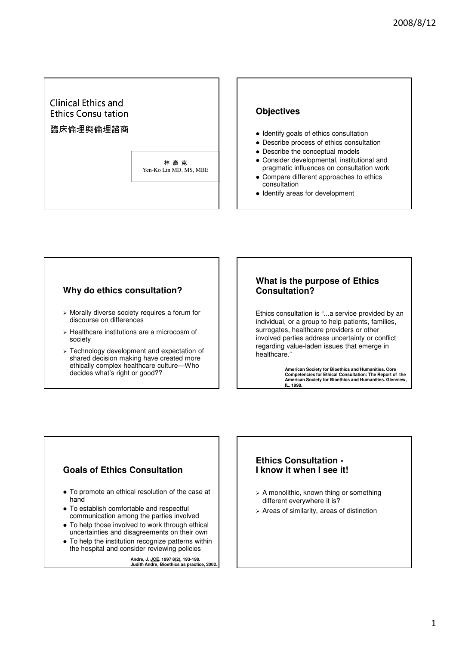# **Ethics Consultation** Clinical Ethics and

#### 臨床倫理與倫理諮商 **Research in**

林彦克 Yen-Ko Lin MD, MS, MBE

## **Objectives**

- Identify goals of ethics consultation
- Describe process of ethics consultation
- Describe the conceptual models
- Consider developmental, institutional and pragmatic influences on consultation work
- Compare different approaches to ethics consultation
- Identify areas for development

# **Why do ethics consultation?**

- Morally diverse society requires a forum for discourse on differences
- Healthcare institutions are a microcosm of society
- Technology development and expectation of shared decision making have created more ethically complex healthcare culture—Who decides what's right or good??

## **What is the purpose of Ethics Consultation?**

Ethics consultation is "...a service provided by an individual, or a group to help patients, families, surrogates, healthcare providers or other involved parties address uncertainty or conflict regarding value-laden issues that emerge in healthcare."

> **American Society for Bioethics and Humanities. Core Competencies for Ethical Consultation: The Report of the American Society for Bioethics and Humanities. Glenview, IL. 1998.**

# **Goals of Ethics Consultation**

- To promote an ethical resolution of the case at hand
- To establish comfortable and respectful communication among the parties involved
- To help those involved to work through ethical uncertainties and disagreements on their own
- To help the institution recognize patterns within the hospital and consider reviewing policies

**Andre, J. JCE. 1997 8(2), 193-198. Judith Andre, Bioethics as practice, 2002.**

## **Ethics Consultation - I know it when I see it!**

- > A monolithic, known thing or something different everywhere it is?
- Areas of similarity, areas of distinction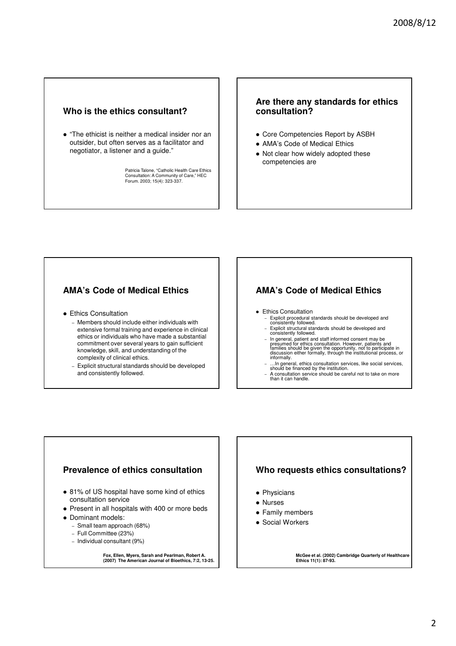## **Who is the ethics consultant?**

 "The ethicist is neither a medical insider nor an outsider, but often serves as a facilitator and negotiator, a listener and a guide."

Patricia Talone, "Catholic Health Care Ethics Consultation: A Community of Care," HEC Forum. 2003; 15(4): 323-337.

#### **Are there any standards for ethics consultation?**

- Core Competencies Report by ASBH
- AMA's Code of Medical Ethics
- Not clear how widely adopted these competencies are

# **AMA's Code of Medical Ethics**

- Ethics Consultation
	- Members should include either individuals with extensive formal training and experience in clinical ethics or individuals who have made a substantial commitment over several years to gain sufficient knowledge, skill, and understanding of the complexity of clinical ethics.
	- Explicit structural standards should be developed and consistently followed.

## **AMA's Code of Medical Ethics**

- Ethics Consultation
	- Explicit procedural standards should be developed and consistently followed.
	- Explicit structural standards should be developed and consistently followed.
	- In general, patient and staff informed consent may be<br>presumed for ethics consultation. However, patients and<br>tamilies should be given the opportunity, not to participate in<br>discussion either formally, through the instit
	- …In general, ethics consultation services, like social services, should be financed by the institution.
	- A consultation service should be careful not to take on more than it can handle.

#### **Prevalence of ethics consultation**

- 81% of US hospital have some kind of ethics consultation service
- Present in all hospitals with 400 or more beds
- Dominant models:
	- Small team approach (68%)
	- Full Committee (23%)
	- Individual consultant (9%)

# **Fox, Ellen, Myers, Sarah and Pearlman, Robert A. (2007) The American Journal of Bioethics, 7:2, 13-25.**

## **Who requests ethics consultations?**

- Physicians
- Nurses
- Family members
- Social Workers

**McGee et al. (2002) Cambridge Quarterly of Healthcare Ethics 11(1): 87-93.**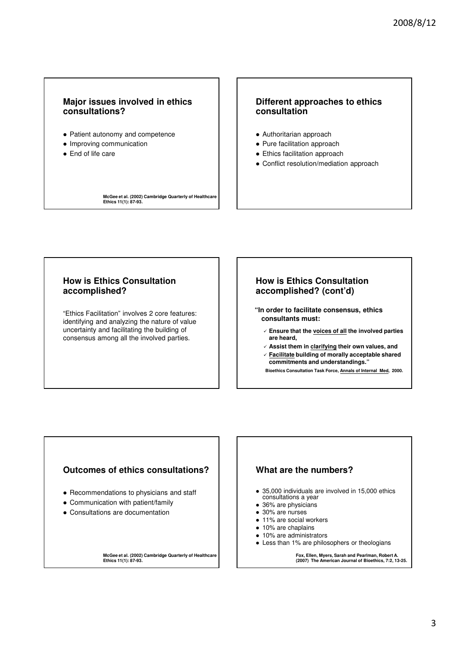### **Major issues involved in ethics consultations?**

- Patient autonomy and competence
- Improving communication
- End of life care

#### **Different approaches to ethics consultation**

- Authoritarian approach
- Pure facilitation approach
- Ethics facilitation approach
- Conflict resolution/mediation approach

**McGee et al. (2002) Cambridge Quarterly of Healthcare Ethics 11(1): 87-93.**

## **How is Ethics Consultation accomplished?**

"Ethics Facilitation" involves 2 core features: identifying and analyzing the nature of value uncertainty and facilitating the building of consensus among all the involved parties.

#### **How is Ethics Consultation accomplished? (cont'd)**

- **"In order to facilitate consensus, ethics consultants must:**
	- **Ensure that the voices of all the involved parties are heard,**
	- **Assist them in clarifying their own values, and**
	- **Facilitate building of morally acceptable shared commitments and understandings."**

**Bioethics Consultation Task Force, Annals of Internal Med, 2000.**

#### **Outcomes of ethics consultations?**

- Recommendations to physicians and staff
- Communication with patient/family
- Consultations are documentation

**McGee et al. (2002) Cambridge Quarterly of Healthcare Ethics 11(1): 87-93.**

#### **What are the numbers?**

- 35,000 individuals are involved in 15,000 ethics consultations a year
- 36% are physicians
- 30% are nurses
- 11% are social workers
- 10% are chaplains
- 10% are administrators
- Less than 1% are philosophers or theologians

**Fox, Ellen, Myers, Sarah and Pearlman, Robert A. (2007) The American Journal of Bioethics, 7:2, 13-25.**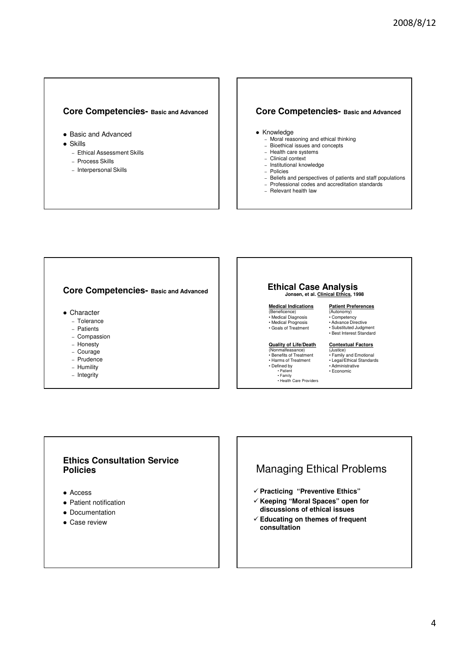#### **Core Competencies- Basic and Advanced**

- Basic and Advanced
- Skills
	- Ethical Assessment Skills
	- Process Skills
	- Interpersonal Skills

#### **Core Competencies- Basic and Advanced**

- Knowledge
	- Moral reasoning and ethical thinking
	- Bioethical issues and concepts
	- Health care systems – Clinical context
	- Institutional knowledge
	- Policies
	- Beliefs and perspectives of patients and staff populations
	- Professional codes and accreditation standards
	- Relevant health law

#### **Core Competencies- Basic and Advanced**

- Character
	- Tolerance
	- Patients
	- Compassion
	- Honesty
	- Courage
	- Prudence
	- Humility
	- Integrity

#### **Ethical Case Analysis Jonsen, et al. Clinical Ethics, 1998**

**Medical Indications** (Beneficence) • Medical Diagnosis • Medical Prognosis

- Goals of Treatment **Patient Preferences** (Autonomy) • Competency • Advance Directive
	- Substituted Judgment • Best Interest Standard

#### **Quality of Life/Death**

(Nonmalfeasance) • Benefits of Treatment • Harms of Treatment • Defined by

- Patient Family
- Health Care Providers
- **Contextual Factors**
- (Justice) Family and Emotional • Legal/Ethical Standards • Administrative
- Economic
- 

## **Ethics Consultation Service Policies**

- Access
- Patient notification
- Documentation
- Case review

# Managing Ethical Problems

- **Practicing "Preventive Ethics"**
- **Keeping "Moral Spaces" open for discussions of ethical issues**
- **Educating on themes of frequent consultation**